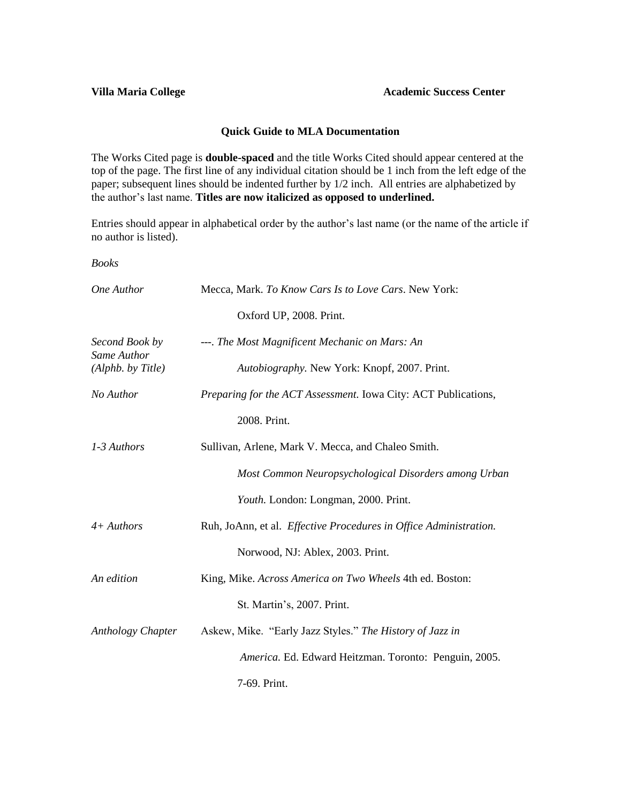#### **Quick Guide to MLA Documentation**

The Works Cited page is **double-spaced** and the title Works Cited should appear centered at the top of the page. The first line of any individual citation should be 1 inch from the left edge of the paper; subsequent lines should be indented further by 1/2 inch. All entries are alphabetized by the author's last name. **Titles are now italicized as opposed to underlined.**

Entries should appear in alphabetical order by the author's last name (or the name of the article if no author is listed).

*Books*

| One Author                       | Mecca, Mark. To Know Cars Is to Love Cars. New York:              |
|----------------------------------|-------------------------------------------------------------------|
|                                  | Oxford UP, 2008. Print.                                           |
| Second Book by                   | ---. The Most Magnificent Mechanic on Mars: An                    |
| Same Author<br>(Alphb. by Title) | Autobiography. New York: Knopf, 2007. Print.                      |
| No Author                        | Preparing for the ACT Assessment. Iowa City: ACT Publications,    |
|                                  | 2008. Print.                                                      |
| 1-3 Authors                      | Sullivan, Arlene, Mark V. Mecca, and Chaleo Smith.                |
|                                  | Most Common Neuropsychological Disorders among Urban              |
|                                  | Youth. London: Longman, 2000. Print.                              |
| $4 + Authors$                    | Ruh, JoAnn, et al. Effective Procedures in Office Administration. |
|                                  | Norwood, NJ: Ablex, 2003. Print.                                  |
| An edition                       | King, Mike. Across America on Two Wheels 4th ed. Boston:          |
|                                  | St. Martin's, 2007. Print.                                        |
| Anthology Chapter                | Askew, Mike. "Early Jazz Styles." The History of Jazz in          |
|                                  | America. Ed. Edward Heitzman. Toronto: Penguin, 2005.             |
|                                  | 7-69. Print.                                                      |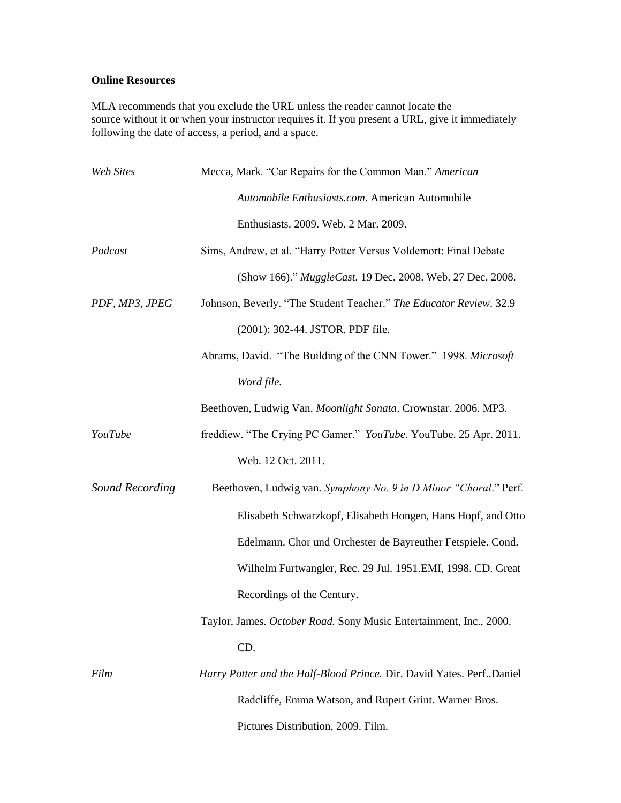### **Online Resources**

MLA recommends that you exclude the URL unless the reader cannot locate the source without it or when your instructor requires it. If you present a URL, give it immediately following the date of access, a period, and a space.

| <b>Web Sites</b> | Mecca, Mark. "Car Repairs for the Common Man." American              |
|------------------|----------------------------------------------------------------------|
|                  | Automobile Enthusiasts.com. American Automobile                      |
|                  | Enthusiasts. 2009. Web. 2 Mar. 2009.                                 |
| Podcast          | Sims, Andrew, et al. "Harry Potter Versus Voldemort: Final Debate    |
|                  | (Show 166)." MuggleCast. 19 Dec. 2008. Web. 27 Dec. 2008.            |
| PDF, MP3, JPEG   | Johnson, Beverly. "The Student Teacher." The Educator Review. 32.9   |
|                  | (2001): 302-44. JSTOR. PDF file.                                     |
|                  | Abrams, David. "The Building of the CNN Tower." 1998. Microsoft      |
|                  | Word file.                                                           |
|                  | Beethoven, Ludwig Van. Moonlight Sonata. Crownstar. 2006. MP3.       |
| YouTube          | freddiew. "The Crying PC Gamer." YouTube. YouTube. 25 Apr. 2011.     |
|                  | Web. 12 Oct. 2011.                                                   |
| Sound Recording  | Beethoven, Ludwig van. Symphony No. 9 in D Minor "Choral." Perf.     |
|                  | Elisabeth Schwarzkopf, Elisabeth Hongen, Hans Hopf, and Otto         |
|                  | Edelmann. Chor und Orchester de Bayreuther Fetspiele. Cond.          |
|                  | Wilhelm Furtwangler, Rec. 29 Jul. 1951.EMI, 1998. CD. Great          |
|                  | Recordings of the Century.                                           |
|                  | Taylor, James. October Road. Sony Music Entertainment, Inc., 2000.   |
|                  | CD.                                                                  |
| Film             | Harry Potter and the Half-Blood Prince. Dir. David Yates. PerfDaniel |
|                  | Radcliffe, Emma Watson, and Rupert Grint. Warner Bros.               |
|                  | Pictures Distribution, 2009. Film.                                   |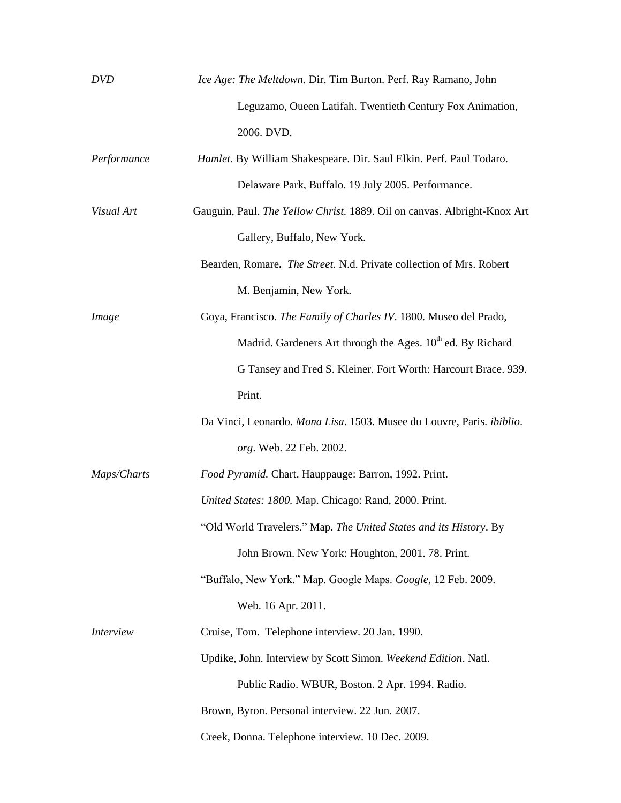| <b>DVD</b>       | Ice Age: The Meltdown. Dir. Tim Burton. Perf. Ray Ramano, John           |
|------------------|--------------------------------------------------------------------------|
|                  | Leguzamo, Oueen Latifah. Twentieth Century Fox Animation,                |
|                  | 2006. DVD.                                                               |
| Performance      | Hamlet. By William Shakespeare. Dir. Saul Elkin. Perf. Paul Todaro.      |
|                  | Delaware Park, Buffalo. 19 July 2005. Performance.                       |
| Visual Art       | Gauguin, Paul. The Yellow Christ. 1889. Oil on canvas. Albright-Knox Art |
|                  | Gallery, Buffalo, New York.                                              |
|                  | Bearden, Romare. The Street. N.d. Private collection of Mrs. Robert      |
|                  | M. Benjamin, New York.                                                   |
| <i>Image</i>     | Goya, Francisco. The Family of Charles IV. 1800. Museo del Prado,        |
|                  | Madrid. Gardeners Art through the Ages. 10 <sup>th</sup> ed. By Richard  |
|                  | G Tansey and Fred S. Kleiner. Fort Worth: Harcourt Brace. 939.           |
|                  | Print.                                                                   |
|                  | Da Vinci, Leonardo. Mona Lisa. 1503. Musee du Louvre, Paris. ibiblio.    |
|                  | org. Web. 22 Feb. 2002.                                                  |
| Maps/Charts      | Food Pyramid. Chart. Hauppauge: Barron, 1992. Print.                     |
|                  | United States: 1800. Map. Chicago: Rand, 2000. Print.                    |
|                  | "Old World Travelers." Map. The United States and its History. By        |
|                  | John Brown. New York: Houghton, 2001. 78. Print.                         |
|                  | "Buffalo, New York." Map. Google Maps. Google, 12 Feb. 2009.             |
|                  | Web. 16 Apr. 2011.                                                       |
| <i>Interview</i> | Cruise, Tom. Telephone interview. 20 Jan. 1990.                          |
|                  | Updike, John. Interview by Scott Simon. Weekend Edition. Natl.           |
|                  | Public Radio. WBUR, Boston. 2 Apr. 1994. Radio.                          |
|                  | Brown, Byron. Personal interview. 22 Jun. 2007.                          |
|                  | Creek, Donna. Telephone interview. 10 Dec. 2009.                         |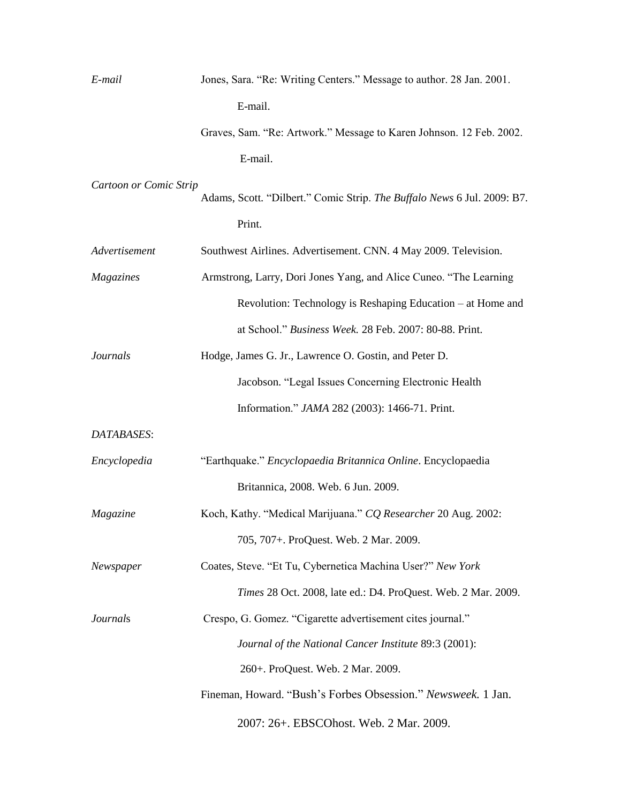| E-mail                 | Jones, Sara. "Re: Writing Centers." Message to author. 28 Jan. 2001.    |
|------------------------|-------------------------------------------------------------------------|
|                        | E-mail.                                                                 |
|                        | Graves, Sam. "Re: Artwork." Message to Karen Johnson. 12 Feb. 2002.     |
|                        | E-mail.                                                                 |
| Cartoon or Comic Strip | Adams, Scott. "Dilbert." Comic Strip. The Buffalo News 6 Jul. 2009: B7. |
|                        | Print.                                                                  |
| Advertisement          | Southwest Airlines. Advertisement. CNN. 4 May 2009. Television.         |
| Magazines              | Armstrong, Larry, Dori Jones Yang, and Alice Cuneo. "The Learning       |
|                        | Revolution: Technology is Reshaping Education – at Home and             |
|                        | at School." Business Week. 28 Feb. 2007: 80-88. Print.                  |
| <b>Journals</b>        | Hodge, James G. Jr., Lawrence O. Gostin, and Peter D.                   |
|                        | Jacobson. "Legal Issues Concerning Electronic Health                    |
|                        | Information." JAMA 282 (2003): 1466-71. Print.                          |
| DATABASES:             |                                                                         |
| Encyclopedia           | "Earthquake." Encyclopaedia Britannica Online. Encyclopaedia            |
|                        | Britannica, 2008. Web. 6 Jun. 2009.                                     |
| Magazine               | Koch, Kathy. "Medical Marijuana." CQ Researcher 20 Aug. 2002:           |
|                        | 705, 707+. ProQuest. Web. 2 Mar. 2009.                                  |
| Newspaper              | Coates, Steve. "Et Tu, Cybernetica Machina User?" New York              |
|                        | Times 28 Oct. 2008, late ed.: D4. ProQuest. Web. 2 Mar. 2009.           |
| <i>Journals</i>        | Crespo, G. Gomez. "Cigarette advertisement cites journal."              |
|                        | Journal of the National Cancer Institute 89:3 (2001):                   |
|                        | 260+. ProQuest. Web. 2 Mar. 2009.                                       |
|                        | Fineman, Howard. "Bush's Forbes Obsession." Newsweek. 1 Jan.            |
|                        | 2007: 26+. EBSCOhost. Web. 2 Mar. 2009.                                 |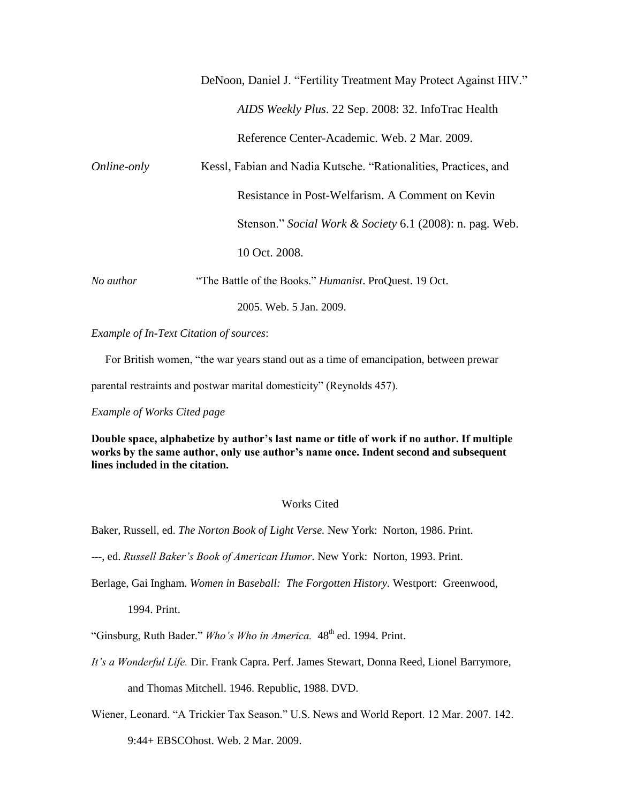| DeNoon, Daniel J. "Fertility Treatment May Protect Against HIV." |  |  |  |
|------------------------------------------------------------------|--|--|--|
|------------------------------------------------------------------|--|--|--|

*AIDS Weekly Plus*. 22 Sep. 2008: 32. InfoTrac Health

Reference Center-Academic. Web. 2 Mar. 2009.

| Online-only | Kessl, Fabian and Nadia Kutsche. "Rationalities, Practices, and |  |
|-------------|-----------------------------------------------------------------|--|
|             | Resistance in Post-Welfarism. A Comment on Kevin                |  |
|             | Stenson." Social Work & Society 6.1 (2008): n. pag. Web.        |  |
|             | 10 Oct. 2008.                                                   |  |
| No author   | "The Battle of the Books." Humanist. ProQuest. 19 Oct.          |  |

2005. Web. 5 Jan. 2009.

*Example of In-Text Citation of sources*:

For British women, "the war years stand out as a time of emancipation, between prewar

parental restraints and postwar marital domesticity" (Reynolds 457).

*Example of Works Cited page*

**Double space, alphabetize by author's last name or title of work if no author. If multiple works by the same author, only use author's name once. Indent second and subsequent lines included in the citation.**

### Works Cited

Baker, Russell, ed. *The Norton Book of Light Verse.* New York: Norton, 1986. Print.

---, ed. *Russell Baker's Book of American Humor.* New York: Norton, 1993. Print.

Berlage, Gai Ingham. *Women in Baseball: The Forgotten History.* Westport: Greenwood,

1994. Print.

"Ginsburg, Ruth Bader." Who's Who in America. 48<sup>th</sup> ed. 1994. Print.

*It's a Wonderful Life.* Dir. Frank Capra. Perf. James Stewart, Donna Reed, Lionel Barrymore,

and Thomas Mitchell. 1946. Republic, 1988. DVD.

Wiener, Leonard. "A Trickier Tax Season." U.S. News and World Report. 12 Mar. 2007. 142.

9:44+ EBSCOhost. Web. 2 Mar. 2009.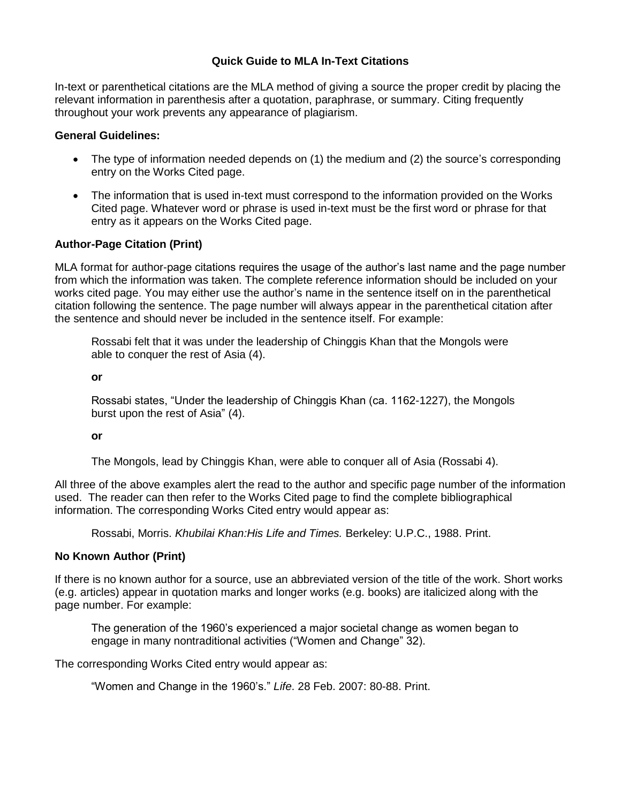# **Quick Guide to MLA In-Text Citations**

In-text or parenthetical citations are the MLA method of giving a source the proper credit by placing the relevant information in parenthesis after a quotation, paraphrase, or summary. Citing frequently throughout your work prevents any appearance of plagiarism.

### **General Guidelines:**

- The type of information needed depends on (1) the medium and (2) the source's corresponding entry on the Works Cited page.
- The information that is used in-text must correspond to the information provided on the Works Cited page. Whatever word or phrase is used in-text must be the first word or phrase for that entry as it appears on the Works Cited page.

## **Author-Page Citation (Print)**

MLA format for author-page citations requires the usage of the author's last name and the page number from which the information was taken. The complete reference information should be included on your works cited page. You may either use the author's name in the sentence itself on in the parenthetical citation following the sentence. The page number will always appear in the parenthetical citation after the sentence and should never be included in the sentence itself. For example:

Rossabi felt that it was under the leadership of Chinggis Khan that the Mongols were able to conquer the rest of Asia (4).

#### **or**

Rossabi states, "Under the leadership of Chinggis Khan (ca. 1162-1227), the Mongols burst upon the rest of Asia" (4).

### **or**

The Mongols, lead by Chinggis Khan, were able to conquer all of Asia (Rossabi 4).

All three of the above examples alert the read to the author and specific page number of the information used. The reader can then refer to the Works Cited page to find the complete bibliographical information. The corresponding Works Cited entry would appear as:

Rossabi, Morris. *Khubilai Khan:His Life and Times.* Berkeley: U.P.C., 1988. Print.

## **No Known Author (Print)**

If there is no known author for a source, use an abbreviated version of the title of the work. Short works (e.g. articles) appear in quotation marks and longer works (e.g. books) are italicized along with the page number. For example:

The generation of the 1960's experienced a major societal change as women began to engage in many nontraditional activities ("Women and Change" 32).

The corresponding Works Cited entry would appear as:

"Women and Change in the 1960's." *Life*. 28 Feb. 2007: 80-88. Print.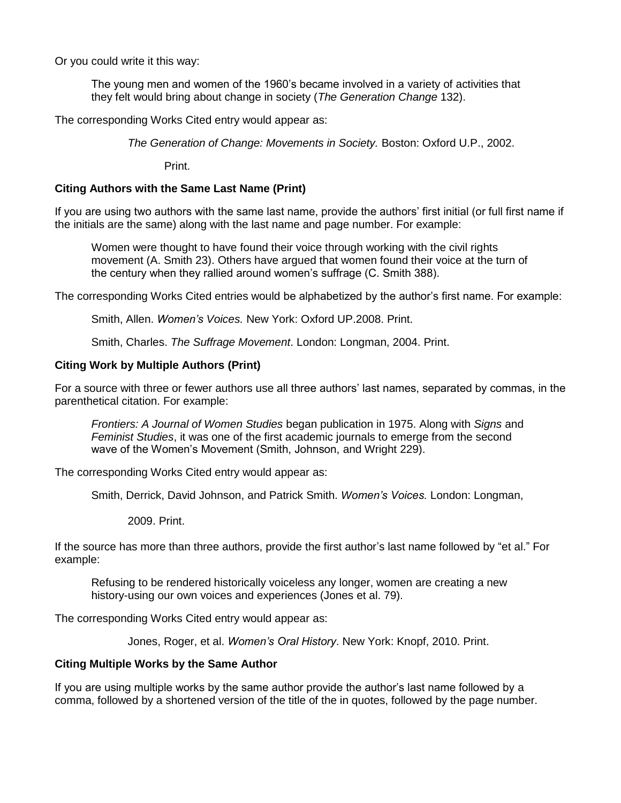Or you could write it this way:

The young men and women of the 1960's became involved in a variety of activities that they felt would bring about change in society (*The Generation Change* 132).

The corresponding Works Cited entry would appear as:

*The Generation of Change: Movements in Society.* Boston: Oxford U.P., 2002.

Print.

### **Citing Authors with the Same Last Name (Print)**

If you are using two authors with the same last name, provide the authors' first initial (or full first name if the initials are the same) along with the last name and page number. For example:

Women were thought to have found their voice through working with the civil rights movement (A. Smith 23). Others have argued that women found their voice at the turn of the century when they rallied around women's suffrage (C. Smith 388).

The corresponding Works Cited entries would be alphabetized by the author's first name. For example:

Smith, Allen. *Women's Voices.* New York: Oxford UP.2008. Print.

Smith, Charles. *The Suffrage Movement*. London: Longman, 2004. Print.

### **Citing Work by Multiple Authors (Print)**

For a source with three or fewer authors use all three authors' last names, separated by commas, in the parenthetical citation. For example:

*Frontiers: A Journal of Women Studies* began publication in 1975. Along with *Signs* and *Feminist Studies*, it was one of the first academic journals to emerge from the second wave of the Women's Movement (Smith, Johnson, and Wright 229).

The corresponding Works Cited entry would appear as:

Smith, Derrick, David Johnson, and Patrick Smith. *Women's Voices.* London: Longman,

2009. Print.

If the source has more than three authors, provide the first author's last name followed by "et al." For example:

Refusing to be rendered historically voiceless any longer, women are creating a new history-using our own voices and experiences (Jones et al. 79).

The corresponding Works Cited entry would appear as:

Jones, Roger, et al. *Women's Oral History*. New York: Knopf, 2010. Print.

### **Citing Multiple Works by the Same Author**

If you are using multiple works by the same author provide the author's last name followed by a comma, followed by a shortened version of the title of the in quotes, followed by the page number.